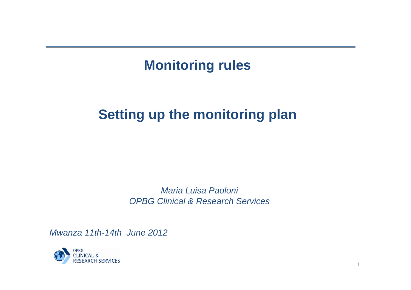## **Monitoring rules**

# **Setting up the monitoring plan**

*Maria Luisa Paoloni OPBG Clinical & Research Services*

*Mwanza 11th-14th June 2012*

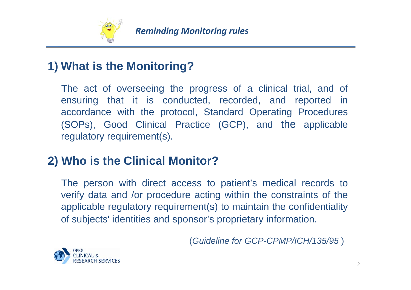

### **1) What is the Monitoring?**

The act of overseeing the progress of a clinical trial, and of ensuring that it is conducted, recorded, and reported in accordance with the protocol, Standard Operating Procedures (SOPs), Good Clinical Practice (GCP), and the applicable regulatory requirement(s).

### **2) Who is the Clinical Monitor?**

The person with direct access to patient's medical records to verify data and /or procedure acting within the constraints of the applicable regulatory requirement(s) to maintain the confidentiality of subjects' identities and sponsor's proprietary information.

(*Guideline for GCP-CPMP/ICH/135/95* )

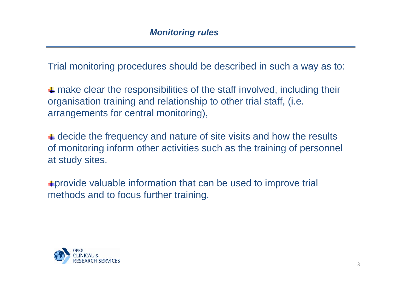Trial monitoring procedures should be described in such a way as to:

 $\triangleq$  make clear the responsibilities of the staff involved, including their organisation training and relationship to other trial staff, (i.e. arrangements for central monitoring),

 $\triangleq$  decide the frequency and nature of site visits and how the results of monitoring inform other activities such as the training of personnel at study sites.

provide valuable information that can be used to improve trial methods and to focus further training.

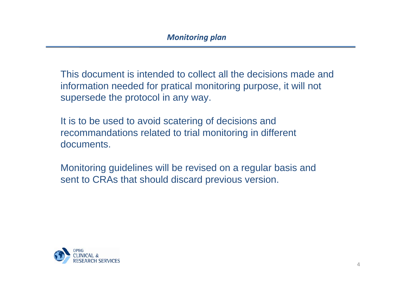This document is intended to collect all the decisions made and information needed for pratical monitoring purpose, it will not supersede the protocol in any way.

It is to be used to avoid scatering of decisions and recommandations related to trial monitoring in different documents.

Monitoring guidelines will be revised on a regular basis and sent to CRAs that should discard previous version.

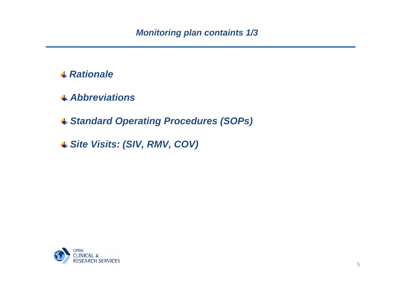- *Rationale*
- *Abbreviations*

*Standard Operating Procedures (SOPs)*

*Site Visits: (SIV, RMV, COV)* 

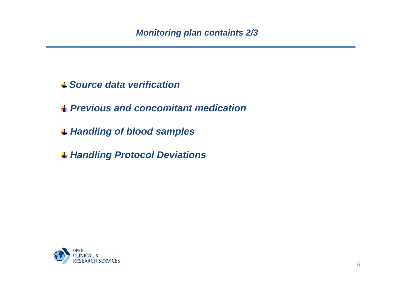#### *Source data verification*

*Previous and concomitant medication*

- *Handling of blood samples*
- *Handling Protocol Deviations*

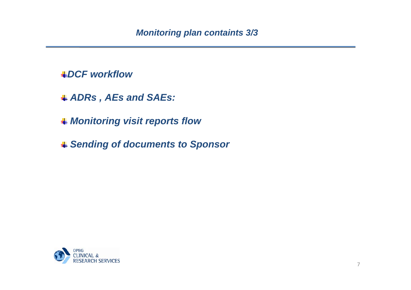#### *DCF workflow*

- *ADRs , AEs and SAEs:*
- *Monitoring visit reports flow*
- *Sending of documents to Sponsor*